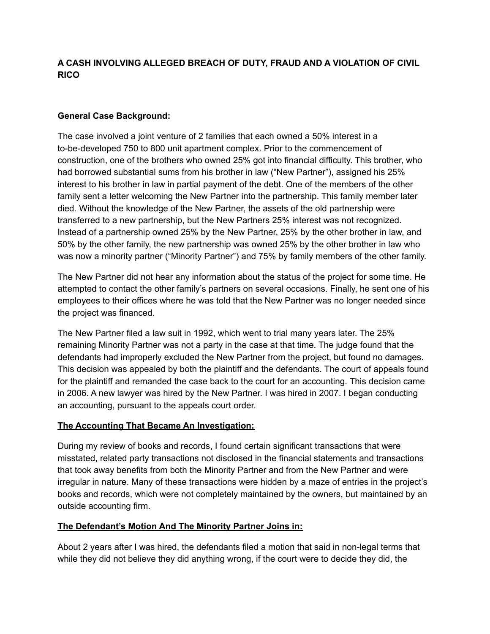# **A CASH INVOLVING ALLEGED BREACH OF DUTY, FRAUD AND A VIOLATION OF CIVIL RICO**

### **General Case Background:**

The case involved a joint venture of 2 families that each owned a 50% interest in a to-be-developed 750 to 800 unit apartment complex. Prior to the commencement of construction, one of the brothers who owned 25% got into financial difficulty. This brother, who had borrowed substantial sums from his brother in law ("New Partner"), assigned his 25% interest to his brother in law in partial payment of the debt. One of the members of the other family sent a letter welcoming the New Partner into the partnership. This family member later died. Without the knowledge of the New Partner, the assets of the old partnership were transferred to a new partnership, but the New Partners 25% interest was not recognized. Instead of a partnership owned 25% by the New Partner, 25% by the other brother in law, and 50% by the other family, the new partnership was owned 25% by the other brother in law who was now a minority partner ("Minority Partner") and 75% by family members of the other family.

The New Partner did not hear any information about the status of the project for some time. He attempted to contact the other family's partners on several occasions. Finally, he sent one of his employees to their offices where he was told that the New Partner was no longer needed since the project was financed.

The New Partner filed a law suit in 1992, which went to trial many years later. The 25% remaining Minority Partner was not a party in the case at that time. The judge found that the defendants had improperly excluded the New Partner from the project, but found no damages. This decision was appealed by both the plaintiff and the defendants. The court of appeals found for the plaintiff and remanded the case back to the court for an accounting. This decision came in 2006. A new lawyer was hired by the New Partner. I was hired in 2007. I began conducting an accounting, pursuant to the appeals court order.

#### **The Accounting That Became An Investigation:**

During my review of books and records, I found certain significant transactions that were misstated, related party transactions not disclosed in the financial statements and transactions that took away benefits from both the Minority Partner and from the New Partner and were irregular in nature. Many of these transactions were hidden by a maze of entries in the project's books and records, which were not completely maintained by the owners, but maintained by an outside accounting firm.

### **The Defendant's Motion And The Minority Partner Joins in:**

About 2 years after I was hired, the defendants filed a motion that said in non-legal terms that while they did not believe they did anything wrong, if the court were to decide they did, the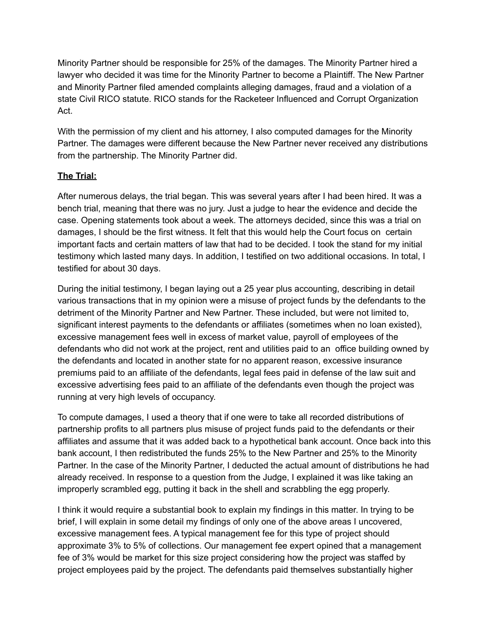Minority Partner should be responsible for 25% of the damages. The Minority Partner hired a lawyer who decided it was time for the Minority Partner to become a Plaintiff. The New Partner and Minority Partner filed amended complaints alleging damages, fraud and a violation of a state Civil RICO statute. RICO stands for the Racketeer Influenced and Corrupt Organization Act.

With the permission of my client and his attorney, I also computed damages for the Minority Partner. The damages were different because the New Partner never received any distributions from the partnership. The Minority Partner did.

# **The Trial:**

After numerous delays, the trial began. This was several years after I had been hired. It was a bench trial, meaning that there was no jury. Just a judge to hear the evidence and decide the case. Opening statements took about a week. The attorneys decided, since this was a trial on damages, I should be the first witness. It felt that this would help the Court focus on certain important facts and certain matters of law that had to be decided. I took the stand for my initial testimony which lasted many days. In addition, I testified on two additional occasions. In total, I testified for about 30 days.

During the initial testimony, I began laying out a 25 year plus accounting, describing in detail various transactions that in my opinion were a misuse of project funds by the defendants to the detriment of the Minority Partner and New Partner. These included, but were not limited to, significant interest payments to the defendants or affiliates (sometimes when no loan existed), excessive management fees well in excess of market value, payroll of employees of the defendants who did not work at the project, rent and utilities paid to an office building owned by the defendants and located in another state for no apparent reason, excessive insurance premiums paid to an affiliate of the defendants, legal fees paid in defense of the law suit and excessive advertising fees paid to an affiliate of the defendants even though the project was running at very high levels of occupancy.

To compute damages, I used a theory that if one were to take all recorded distributions of partnership profits to all partners plus misuse of project funds paid to the defendants or their affiliates and assume that it was added back to a hypothetical bank account. Once back into this bank account, I then redistributed the funds 25% to the New Partner and 25% to the Minority Partner. In the case of the Minority Partner, I deducted the actual amount of distributions he had already received. In response to a question from the Judge, I explained it was like taking an improperly scrambled egg, putting it back in the shell and scrabbling the egg properly.

I think it would require a substantial book to explain my findings in this matter. In trying to be brief, I will explain in some detail my findings of only one of the above areas I uncovered, excessive management fees. A typical management fee for this type of project should approximate 3% to 5% of collections. Our management fee expert opined that a management fee of 3% would be market for this size project considering how the project was staffed by project employees paid by the project. The defendants paid themselves substantially higher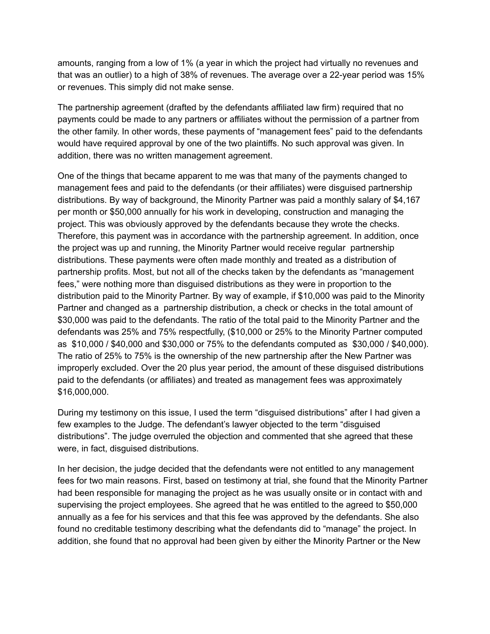amounts, ranging from a low of 1% (a year in which the project had virtually no revenues and that was an outlier) to a high of 38% of revenues. The average over a 22-year period was 15% or revenues. This simply did not make sense.

The partnership agreement (drafted by the defendants affiliated law firm) required that no payments could be made to any partners or affiliates without the permission of a partner from the other family. In other words, these payments of "management fees" paid to the defendants would have required approval by one of the two plaintiffs. No such approval was given. In addition, there was no written management agreement.

One of the things that became apparent to me was that many of the payments changed to management fees and paid to the defendants (or their affiliates) were disguised partnership distributions. By way of background, the Minority Partner was paid a monthly salary of \$4,167 per month or \$50,000 annually for his work in developing, construction and managing the project. This was obviously approved by the defendants because they wrote the checks. Therefore, this payment was in accordance with the partnership agreement. In addition, once the project was up and running, the Minority Partner would receive regular partnership distributions. These payments were often made monthly and treated as a distribution of partnership profits. Most, but not all of the checks taken by the defendants as "management fees," were nothing more than disguised distributions as they were in proportion to the distribution paid to the Minority Partner. By way of example, if \$10,000 was paid to the Minority Partner and changed as a partnership distribution, a check or checks in the total amount of \$30,000 was paid to the defendants. The ratio of the total paid to the Minority Partner and the defendants was 25% and 75% respectfully, (\$10,000 or 25% to the Minority Partner computed as \$10,000 / \$40,000 and \$30,000 or 75% to the defendants computed as \$30,000 / \$40,000). The ratio of 25% to 75% is the ownership of the new partnership after the New Partner was improperly excluded. Over the 20 plus year period, the amount of these disguised distributions paid to the defendants (or affiliates) and treated as management fees was approximately \$16,000,000.

During my testimony on this issue, I used the term "disguised distributions" after I had given a few examples to the Judge. The defendant's lawyer objected to the term "disguised distributions". The judge overruled the objection and commented that she agreed that these were, in fact, disguised distributions.

In her decision, the judge decided that the defendants were not entitled to any management fees for two main reasons. First, based on testimony at trial, she found that the Minority Partner had been responsible for managing the project as he was usually onsite or in contact with and supervising the project employees. She agreed that he was entitled to the agreed to \$50,000 annually as a fee for his services and that this fee was approved by the defendants. She also found no creditable testimony describing what the defendants did to "manage" the project. In addition, she found that no approval had been given by either the Minority Partner or the New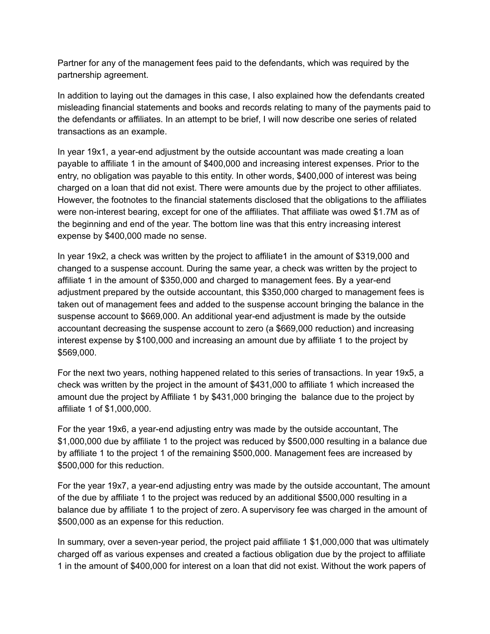Partner for any of the management fees paid to the defendants, which was required by the partnership agreement.

In addition to laying out the damages in this case, I also explained how the defendants created misleading financial statements and books and records relating to many of the payments paid to the defendants or affiliates. In an attempt to be brief, I will now describe one series of related transactions as an example.

In year 19x1, a year-end adjustment by the outside accountant was made creating a loan payable to affiliate 1 in the amount of \$400,000 and increasing interest expenses. Prior to the entry, no obligation was payable to this entity. In other words, \$400,000 of interest was being charged on a loan that did not exist. There were amounts due by the project to other affiliates. However, the footnotes to the financial statements disclosed that the obligations to the affiliates were non-interest bearing, except for one of the affiliates. That affiliate was owed \$1.7M as of the beginning and end of the year. The bottom line was that this entry increasing interest expense by \$400,000 made no sense.

In year 19x2, a check was written by the project to affiliate1 in the amount of \$319,000 and changed to a suspense account. During the same year, a check was written by the project to affiliate 1 in the amount of \$350,000 and charged to management fees. By a year-end adjustment prepared by the outside accountant, this \$350,000 charged to management fees is taken out of management fees and added to the suspense account bringing the balance in the suspense account to \$669,000. An additional year-end adjustment is made by the outside accountant decreasing the suspense account to zero (a \$669,000 reduction) and increasing interest expense by \$100,000 and increasing an amount due by affiliate 1 to the project by \$569,000.

For the next two years, nothing happened related to this series of transactions. In year 19x5, a check was written by the project in the amount of \$431,000 to affiliate 1 which increased the amount due the project by Affiliate 1 by \$431,000 bringing the balance due to the project by affiliate 1 of \$1,000,000.

For the year 19x6, a year-end adjusting entry was made by the outside accountant, The \$1,000,000 due by affiliate 1 to the project was reduced by \$500,000 resulting in a balance due by affiliate 1 to the project 1 of the remaining \$500,000. Management fees are increased by \$500,000 for this reduction.

For the year 19x7, a year-end adjusting entry was made by the outside accountant, The amount of the due by affiliate 1 to the project was reduced by an additional \$500,000 resulting in a balance due by affiliate 1 to the project of zero. A supervisory fee was charged in the amount of \$500,000 as an expense for this reduction.

In summary, over a seven-year period, the project paid affiliate 1 \$1,000,000 that was ultimately charged off as various expenses and created a factious obligation due by the project to affiliate 1 in the amount of \$400,000 for interest on a loan that did not exist. Without the work papers of